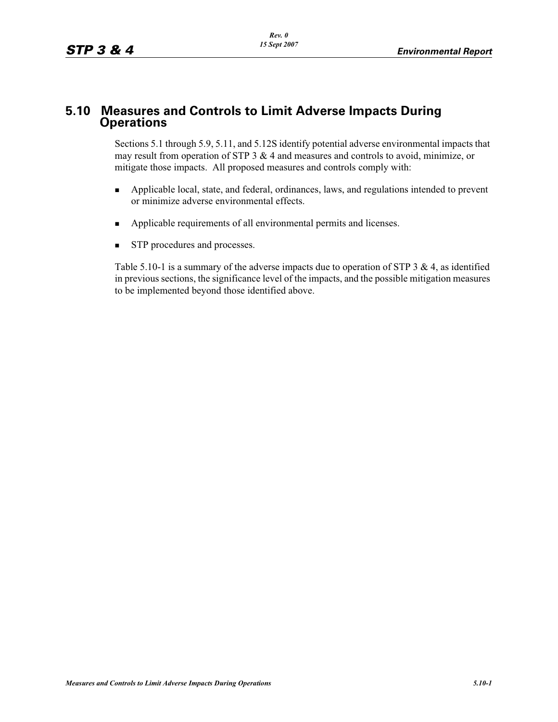# **5.10 Measures and Controls to Limit Adverse Impacts During Operations**

Sections 5.1 through 5.9, 5.11, and 5.12S identify potential adverse environmental impacts that may result from operation of STP 3 & 4 and measures and controls to avoid, minimize, or mitigate those impacts. All proposed measures and controls comply with:

- - Applicable local, state, and federal, ordinances, laws, and regulations intended to prevent or minimize adverse environmental effects.
- -Applicable requirements of all environmental permits and licenses.
- -STP procedures and processes.

Table 5.10-1 is a summary of the adverse impacts due to operation of STP 3  $\&$  4, as identified in previous sections, the significance level of the impacts, and the possible mitigation measures to be implemented beyond those identified above.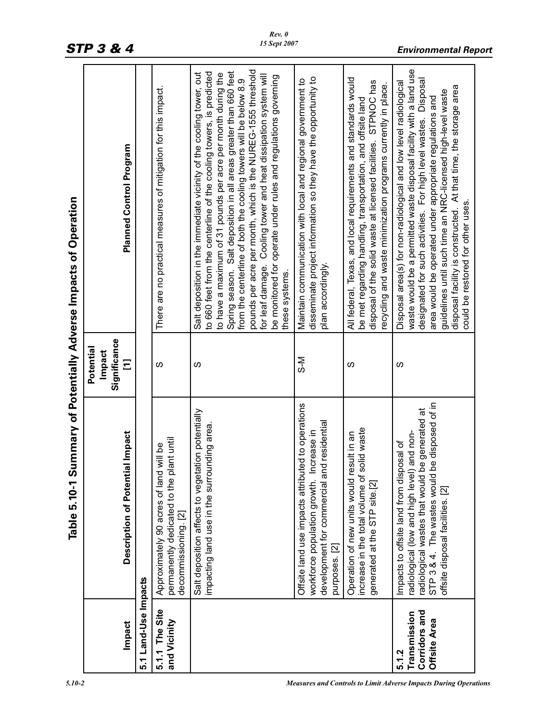|                                                        | (၂<br>Table 5.10-1                                                                                                                                                                                                                     |                                          | ummary of Potentially Adverse Impacts of Operation                                                                                                                                                                                                                                                                                                                                                                                                                                                                                                                            |
|--------------------------------------------------------|----------------------------------------------------------------------------------------------------------------------------------------------------------------------------------------------------------------------------------------|------------------------------------------|-------------------------------------------------------------------------------------------------------------------------------------------------------------------------------------------------------------------------------------------------------------------------------------------------------------------------------------------------------------------------------------------------------------------------------------------------------------------------------------------------------------------------------------------------------------------------------|
| Impact                                                 | Description of Potential Impact                                                                                                                                                                                                        | Significance<br>Potential<br>Impact<br>Ξ | <b>Planned Control Program</b>                                                                                                                                                                                                                                                                                                                                                                                                                                                                                                                                                |
| 5.1 Land-Use Impacts                                   |                                                                                                                                                                                                                                        |                                          |                                                                                                                                                                                                                                                                                                                                                                                                                                                                                                                                                                               |
| 5.1.1 The Site<br>and Vicinity                         | permanently dedicated to the plant until<br>will be<br>Approximately 90 acres of land<br>decommissioning. [2]                                                                                                                          | ഗ                                        | There are no practical measures of mitigation for this impact.                                                                                                                                                                                                                                                                                                                                                                                                                                                                                                                |
|                                                        | Salt deposition affects to vegetation potentially<br>impacting land use in the surrounding area                                                                                                                                        | ഗ                                        | pounds per acre per month, which is the NUREG-1555 threshold<br>Spring season. Salt deposition in all areas greater than 660 feet<br>to 660 feet from the centerline of the cooling towers, is predicted<br>Salt deposition in the immediate vicinity of the cooling tower, out<br>to have a maximum of 31 pounds per acre per month during the<br>Cooling tower and heat dissipation system will<br>be monitored for operate under rules and regulations governing<br>from the centerline of both the cooling towers will be below 8.9<br>for leaf damage.<br>these systems. |
|                                                        | Offsite land use impacts attributed to operations<br>development for commercial and residential<br>workforce population growth. Increase in<br>purposes. [2]                                                                           | N-S                                      | disseminate project information so they have the opportunity to<br>Maintain communication with local and regional government to<br>plan accordingly.                                                                                                                                                                                                                                                                                                                                                                                                                          |
|                                                        | olid waste<br>sult in an<br>Operation of new units would re<br>increase in the total volume of s<br>generated at the STP site.[2]                                                                                                      | S                                        | All federal, Texas, and local requirements and standards would<br>disposal of the solid waste at licensed facilities. STPNOC has<br>recycling and waste minimization programs currently in place.<br>be met regarding handling, transportation, and offsite land                                                                                                                                                                                                                                                                                                              |
| Corridors and<br>Transmission<br>Offsite Area<br>5.1.2 | e disposed of in<br>radiological wastes that would be generated at<br>and non-<br>osal of<br>Impacts to offsite land from disp<br>radiological (low and high level)<br>STP 3 & 4. The wastes would<br>offsite disposal facilities. [2] | ഗ                                        | waste would be a permitted waste disposal facility with a land use<br>designated for such activities. For high level wastes. Disposal<br>Disposal area(s) for non-radiological and low level radiological<br>disposal facility is constructed. At that time, the storage area<br>guidelines until such time an NRC-licensed high-level waste<br>area would be operated under appropriate regulations and<br>could be restored for other uses.                                                                                                                                 |

*STP 3 & 4 Environmental Report*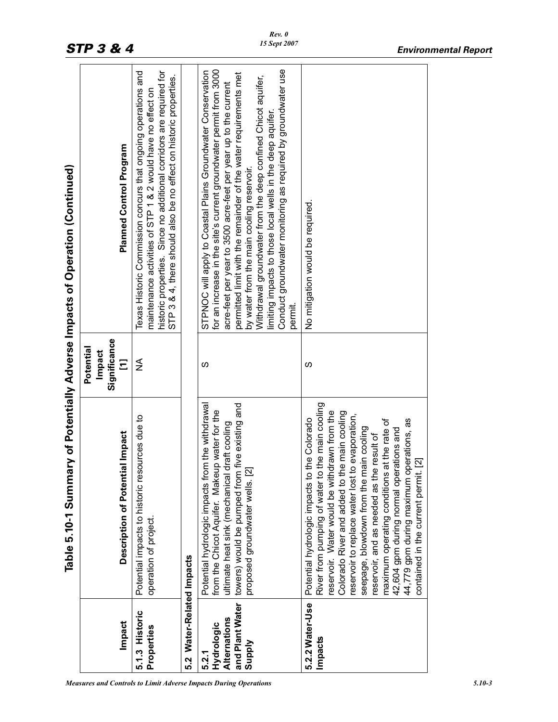|                                                                                | Table 5.10-1 Summary of Potentially Adverse Impacts of Operation (Continued)                                                                                                                                                                                                                                                                                                                                                                                                                                                      |                                          |                                                                                                                                                                                                                                                                                                                                                                                                                                                                                                                                  |
|--------------------------------------------------------------------------------|-----------------------------------------------------------------------------------------------------------------------------------------------------------------------------------------------------------------------------------------------------------------------------------------------------------------------------------------------------------------------------------------------------------------------------------------------------------------------------------------------------------------------------------|------------------------------------------|----------------------------------------------------------------------------------------------------------------------------------------------------------------------------------------------------------------------------------------------------------------------------------------------------------------------------------------------------------------------------------------------------------------------------------------------------------------------------------------------------------------------------------|
| Impact                                                                         | al Impact<br>Description of Potenti                                                                                                                                                                                                                                                                                                                                                                                                                                                                                               | Significance<br>Potential<br>Impact<br>Ξ | <b>Planned Control Program</b>                                                                                                                                                                                                                                                                                                                                                                                                                                                                                                   |
| 5.1.3 Historic<br>Properties                                                   | Potential impacts to historic resources due to<br>operation of project                                                                                                                                                                                                                                                                                                                                                                                                                                                            | ≨                                        | historic properties. Since no additional corridors are required for<br>Texas Historic Commission concurs that ongoing operations and<br>STP 3 & 4, there should also be no effect on historic properties.<br>maintenance activities of STP 1 & 2 would have no effect on                                                                                                                                                                                                                                                         |
| Water-Related Impacts<br>5.2                                                   |                                                                                                                                                                                                                                                                                                                                                                                                                                                                                                                                   |                                          |                                                                                                                                                                                                                                                                                                                                                                                                                                                                                                                                  |
| and Plant Water<br><b>Alternations</b><br>Hydrologic<br><b>Supply</b><br>5.2.1 | Potential hydrologic impacts from the withdrawal<br>five existing and<br>from the Chicot Aquifer. Makeup water for the<br>draft cooling<br>proposed groundwater wells. [2]<br>towers) would be pumped from<br>ultimate heat sink (mechanical                                                                                                                                                                                                                                                                                      | ഗ                                        | Conduct groundwater monitoring as required by groundwater use<br>for an increase in the site's current groundwater permit from 3000<br>STPNOC will apply to Coastal Plains Groundwater Conservation<br>permitted limit with the remainder of the water requirements met<br>Withdrawal groundwater from the deep confined Chicot aquifer,<br>acre-feet per year to 3500 acre-feet per year up to the current<br>limiting impacts to those local wells in the deep aquifer<br>by water from the main cooling reservoir.<br>permit. |
| 5.2.2 Water-Use<br>Impacts                                                     | the main cooling<br>reservoir. Water would be withdrawn from the<br>Colorado River and added to the main cooling<br>reservoir to replace water lost to evaporation,<br>the Colorado<br>at the rate of<br>44,779 gpm during maximum operations, as<br>seepage, blowdown from the main cooling<br>42,604 gpm during normal operations and<br>reservoir, and as needed as the result of<br>contained in the current permit. [2]<br>Potential hydrologic impacts to<br>River from pumping of water to<br>maximum operating conditions | S                                        | No mitigation would be required                                                                                                                                                                                                                                                                                                                                                                                                                                                                                                  |
|                                                                                |                                                                                                                                                                                                                                                                                                                                                                                                                                                                                                                                   |                                          |                                                                                                                                                                                                                                                                                                                                                                                                                                                                                                                                  |

*Rev. 0 15 Sept 2007*

*Measures and Controls to Limit Adverse Impacts During Operations 5.10-3*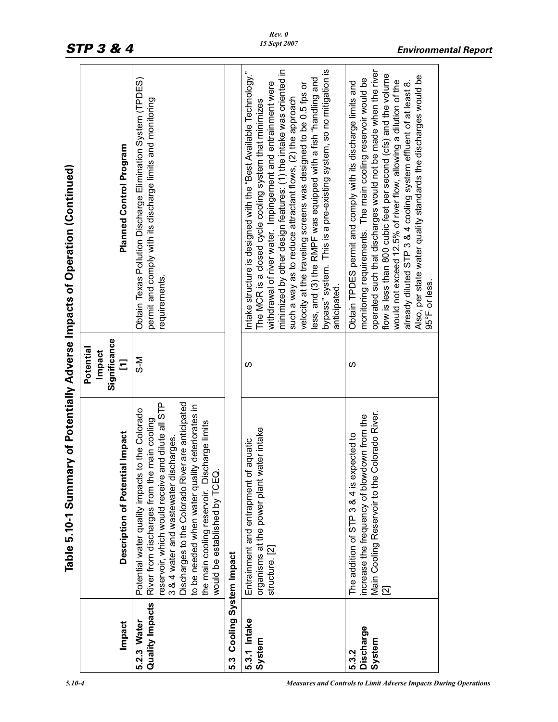|                                     | Table 5.10-1 Summ                                                                                                                                                                                                                                                                                                                                                                       |                                          | ary of Potentially Adverse Impacts of Operation (Continued)                                                                                                                                                                                                                                                                                                                                                                                                                                                                                                |
|-------------------------------------|-----------------------------------------------------------------------------------------------------------------------------------------------------------------------------------------------------------------------------------------------------------------------------------------------------------------------------------------------------------------------------------------|------------------------------------------|------------------------------------------------------------------------------------------------------------------------------------------------------------------------------------------------------------------------------------------------------------------------------------------------------------------------------------------------------------------------------------------------------------------------------------------------------------------------------------------------------------------------------------------------------------|
| Impact                              | Description of Potential Impact                                                                                                                                                                                                                                                                                                                                                         | Significance<br>Potential<br>Impact<br>Ξ | <b>Planned Control Program</b>                                                                                                                                                                                                                                                                                                                                                                                                                                                                                                                             |
| Quality Impacts<br>5.2.3 Water      | and dilute all STP<br>Discharges to the Colorado River are anticipated<br>to be needed when water quality deteriorates in<br>Potential water quality impacts to the Colorado<br>River from discharges from the main cooling<br>the main cooling reservoir. Discharge limits<br>3 & 4 water and wastewater discharges<br>would be established by TCEQ.<br>reservoir, which would receive | N−S                                      | Obtain Texas Pollution Discharge Elimination System (TPDES)<br>permit and comply with its discharge limits and monitoring<br>requirements.                                                                                                                                                                                                                                                                                                                                                                                                                 |
| Cooling System Impact<br>5.3        |                                                                                                                                                                                                                                                                                                                                                                                         |                                          |                                                                                                                                                                                                                                                                                                                                                                                                                                                                                                                                                            |
| 5.3.1 Intake<br>System              | water intake<br>of aquatic<br>Entrainment and entrapment<br>organisms at the power plant<br>structure. [2]                                                                                                                                                                                                                                                                              | ഗ                                        | minimized by other design features: (1) the intake was oriented in<br>bypass" system. This is a pre-existing system, so no mitigation is<br>Intake structure is designed with the "Best Available Technology."<br>less, and (3) the RMPF was equipped with a fish "handling and<br>withdrawal of river water. Impingement and entrainment were<br>velocity at the traveling screens was designed to be 0.5 fps or<br>such a way as to reduce attractant flows, (2) the approach<br>The MCR is a closed cycle cooling system that minimizes<br>anticipated. |
| <b>Discharge</b><br>System<br>5.3.2 | Colorado River.<br>ncrease the frequency of blowdown from the<br>The addition of STP 3 & 4 is expected to<br>Main Cooling Reservoir to the<br>$\overline{2}$                                                                                                                                                                                                                            | <b>S</b>                                 | operated such that discharges would not be made when the river<br>flow is less than 800 cubic feet per second (cfs) and the volume<br>Also, per state water quality standards the discharges would be<br>monitoring requirements. The main cooling reservoir would be<br>would not exceed 12.5% of river flow, allowing a dilution of the<br>already diluted STP 3 & 4 cooling system effluent of at least 8.<br>Obtain TPDES permit and comply with its discharge limits and<br>95°F or less.                                                             |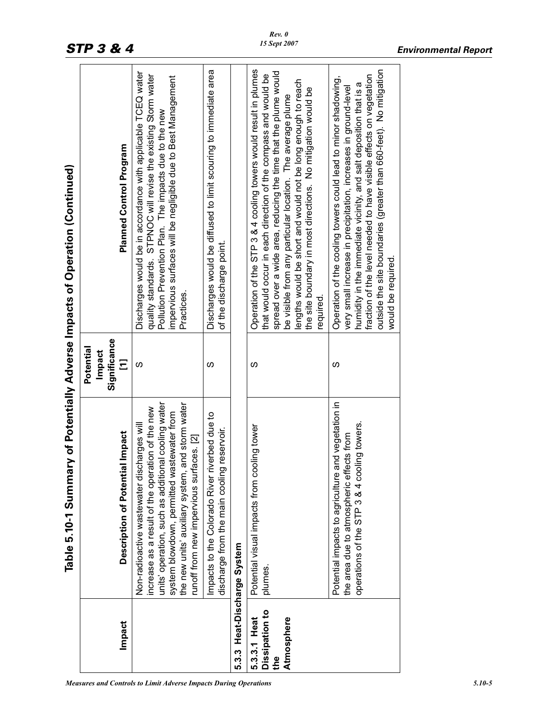|                                                     | Table 5.10-1 Summary of Potentially Adverse Impacts of Operation (Continued)                                                                                                                                                                                                                          |                                          |                                                                                                                                                                                                                                                                                                                                                                                                                 |
|-----------------------------------------------------|-------------------------------------------------------------------------------------------------------------------------------------------------------------------------------------------------------------------------------------------------------------------------------------------------------|------------------------------------------|-----------------------------------------------------------------------------------------------------------------------------------------------------------------------------------------------------------------------------------------------------------------------------------------------------------------------------------------------------------------------------------------------------------------|
| Impact                                              | Description of Potential Impact                                                                                                                                                                                                                                                                       | Significance<br>Potential<br>Impact<br>Ξ | <b>Planned Control Program</b>                                                                                                                                                                                                                                                                                                                                                                                  |
|                                                     | units' operation, such as additional cooling water<br>and storm water<br>increase as a result of the operation of the new<br>system blowdown, permitted wastewater from<br>Non-radioactive wastewater discharges will<br>runoff from new impervious surfaces. [2]<br>the new units' auxiliary system, | S                                        | Discharges would be in accordance with applicable TCEQ water<br>quality standards. STPNOC will revise the existing Storm water<br>impervious surfaces will be negligible due to Best Management<br>Pollution Prevention Plan. The impacts due to the new<br>Practices.                                                                                                                                          |
|                                                     | Impacts to the Colorado River riverbed due to<br>discharge from the main cooling reservoir.                                                                                                                                                                                                           | ഗ                                        | Discharges would be diffused to limit scouring to immediate area<br>of the discharge point.                                                                                                                                                                                                                                                                                                                     |
| 5.3.3 Heat-Discharge System                         |                                                                                                                                                                                                                                                                                                       |                                          |                                                                                                                                                                                                                                                                                                                                                                                                                 |
| Dissipation to<br>Atmosphere<br>5.3.3.1 Heat<br>the | Potential visual impacts from cooling tower<br>plumes.                                                                                                                                                                                                                                                | ഗ                                        | Operation of the STP 3 & 4 cooling towers would result in plumes<br>spread over a wide area, reducing the time that the plume would<br>that would occur in each direction of the compass and would be<br>lengths would be short and would not be long enough to reach<br>the site boundary in most directions. No mitigation would be<br>be visible from any particular location. The average plume<br>equired. |
|                                                     | and vegetation in<br>operations of the STP 3 & 4 cooling towers.<br>the area due to atmospheric effects from<br>Potential impacts to agriculture                                                                                                                                                      | ഗ                                        | outside the site boundaries (greater than 660-feet). No mitigation<br>fraction of the level needed to have visible effects on vegetation<br>Operation of the cooling towers could lead to minor shadowing,<br>humidity in the immediate vicinity, and salt deposition that is a<br>very small increase in precipitation, increases in ground-level<br>would be required.                                        |
|                                                     |                                                                                                                                                                                                                                                                                                       |                                          |                                                                                                                                                                                                                                                                                                                                                                                                                 |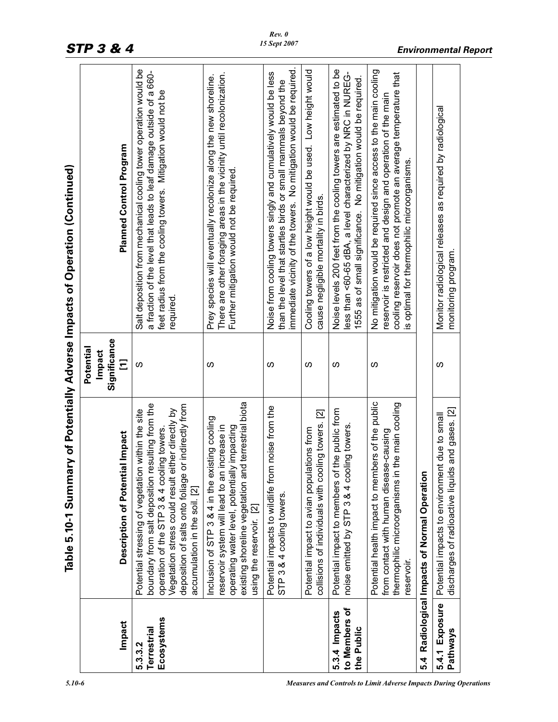|                                              | Table 5.10-1 Summary of Potentially Adverse Impacts of Operation (Continued)                                                                                                                                                                                                                        |                                          |                                                                                                                                                                                                                                                   |
|----------------------------------------------|-----------------------------------------------------------------------------------------------------------------------------------------------------------------------------------------------------------------------------------------------------------------------------------------------------|------------------------------------------|---------------------------------------------------------------------------------------------------------------------------------------------------------------------------------------------------------------------------------------------------|
| Impact                                       | <b>Description of Potential Impact</b>                                                                                                                                                                                                                                                              | Significance<br>Potential<br>Impact<br>Ξ | <b>Planned Control Program</b>                                                                                                                                                                                                                    |
| Ecosystems<br>Terrestrial<br>5.3.3.2         | boundary from salt deposition resulting from the<br>or indirectly from<br>Vegetation stress could result either directly by<br>Potential stressing of vegetation within the site<br>operation of the STP 3 & 4 cooling towers.<br>deposition of salts onto foliage<br>accumulation in the soil. [2] | ပ                                        | Salt deposition from mechanical cooling tower operation would be<br>a fraction of the level that leads to leaf damage outside of a 660-<br>feet radius from the cooling towers. Mitigation would not be<br>required.                              |
|                                              | id terrestrial biota<br>Inclusion of STP 3 & 4 in the existing cooling<br>ly impacting<br>reservoir system will lead to an increase in<br>operating water level, potentiall<br>existing shoreline vegetation ar<br>using the reservoir. [2]                                                         | w                                        | There are other foraging areas in the vicinity until recolonization.<br>Prey species will eventually recolonize along the new shoreline.<br>Further mitigation would not be required                                                              |
|                                              | Potential impacts to wildlife from noise from the<br>STP 3 & 4 cooling towers.                                                                                                                                                                                                                      | <b>S</b>                                 | immediate vicinity of the towers. No mitigation would be required.<br>Noise from cooling towers singly and cumulatively would be less<br>than the level that startles birds or small mammals beyond the                                           |
|                                              | collisions of individuals with cooling towers. [2]<br>Potential impact to avian populations from                                                                                                                                                                                                    | w                                        | Cooling towers of a low height would be used. Low height would<br>cause negligible mortality in birds.                                                                                                                                            |
| to Members of<br>5.3.4 Impacts<br>the Public | Potential impact to members of the public from<br>noise emitted by STP 3 & 4 cooling towers.                                                                                                                                                                                                        | S                                        | Noise levels 200 feet from the cooling towers are estimated to be<br>less than <60-65 dBA, a level characterized by NRC in NUREG-<br>1555 as of small significance. No mitigation would be required.                                              |
|                                              | Potential health impact to members of the public<br>thermophilic microorganisms in the main cooling<br>from contact with human disease-causing<br>reservoir.                                                                                                                                        | S                                        | No mitigation would be required since access to the main cooling<br>cooling reservoir does not promote an average temperature that<br>reservoir is restricted and design and operation of the main<br>is optimal for thermophilic microorganisms. |
| 54                                           | Radiological Impacts of Normal Operation                                                                                                                                                                                                                                                            |                                          |                                                                                                                                                                                                                                                   |
| 5.4.1 Exposure<br><b>Pathways</b>            | discharges of radioactive liquids and gases. [2]<br>Potential impacts to environment due to small                                                                                                                                                                                                   | S                                        | Monitor radiological releases as required by radiological<br>monitoring program                                                                                                                                                                   |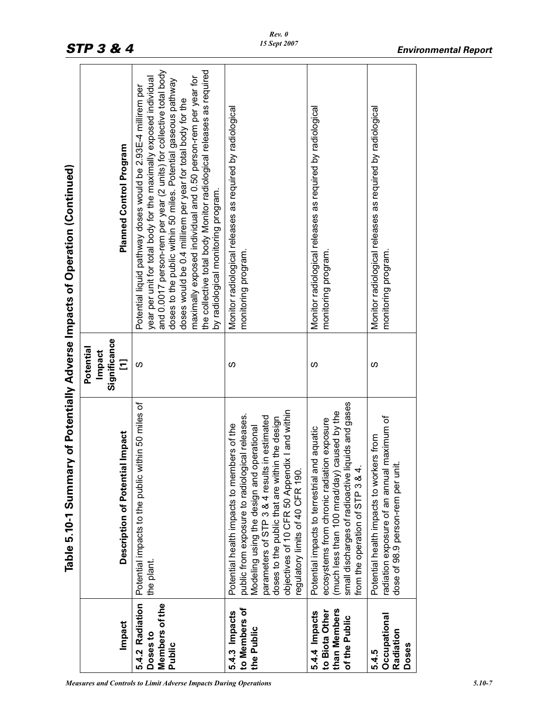|                                                                  | Table 5.10-1 Summ                                                                                                                                                                                                                                                                                                                |                                          | ary of Potentially Adverse Impacts of Operation (Continued)                                                                                                                                                                                                                                                                                                                                                                                                                                                             |
|------------------------------------------------------------------|----------------------------------------------------------------------------------------------------------------------------------------------------------------------------------------------------------------------------------------------------------------------------------------------------------------------------------|------------------------------------------|-------------------------------------------------------------------------------------------------------------------------------------------------------------------------------------------------------------------------------------------------------------------------------------------------------------------------------------------------------------------------------------------------------------------------------------------------------------------------------------------------------------------------|
| Impact                                                           | Description of Potential Impact                                                                                                                                                                                                                                                                                                  | Significance<br>Potential<br>Impact<br>Ξ | Planned Control Program                                                                                                                                                                                                                                                                                                                                                                                                                                                                                                 |
| 5.4.2 Radiation<br>Members of the<br>Doses to<br>Public          | Potential impacts to the public within 50 miles of<br>the plant.                                                                                                                                                                                                                                                                 | S                                        | and 0.0017 person-rem per year (2 units) for collective total body<br>the collective total body Monitor radiological releases as required<br>maximally exposed individual and 0.50 person-rem per year for<br>year per unit for total body for the maximally exposed individual<br>doses to the public within 50 miles. Potential gaseous pathway<br>Potential liquid pathway doses would be 2.93E-4 millirem per<br>doses would be 0.4 millirem per year for total body for the<br>by radiological monitoring program. |
| to Members of<br>5.4.3 Impacts<br>the Public                     | objectives of 10 CFR 50 Appendix I and within<br>public from exposure to radiological releases.<br>parameters of STP 3 & 4 results in estimated<br>doses to the public that are within the design<br>Potential health impacts to members of the<br>Modeling using the design and operational<br>regulatory limits of 40 CFR 190. | w                                        | Monitor radiological releases as required by radiological<br>monitoring program.                                                                                                                                                                                                                                                                                                                                                                                                                                        |
| than Members<br>to Biota Other<br>5.4.4 Impacts<br>of the Public | small discharges of radioactive liquids and gases<br>(much less than 100 mrad/day) caused by the<br>ecosystems from chronic radiation exposure<br>and aquatic<br>4.<br>Potential impacts to terrestrial<br>from the operation of STP 3 &                                                                                         | w                                        | Monitor radiological releases as required by radiological<br>monitoring program.                                                                                                                                                                                                                                                                                                                                                                                                                                        |
| Occupational<br>Radiation<br>Doses<br>5.4.5                      | al maximum of<br>Potential health impacts to workers from<br>,<br>三<br>radiation exposure of an annu<br>dose of 98.9 person-rem per                                                                                                                                                                                              | ഗ                                        | Monitor radiological releases as required by radiological<br>monitoring program                                                                                                                                                                                                                                                                                                                                                                                                                                         |
|                                                                  |                                                                                                                                                                                                                                                                                                                                  |                                          |                                                                                                                                                                                                                                                                                                                                                                                                                                                                                                                         |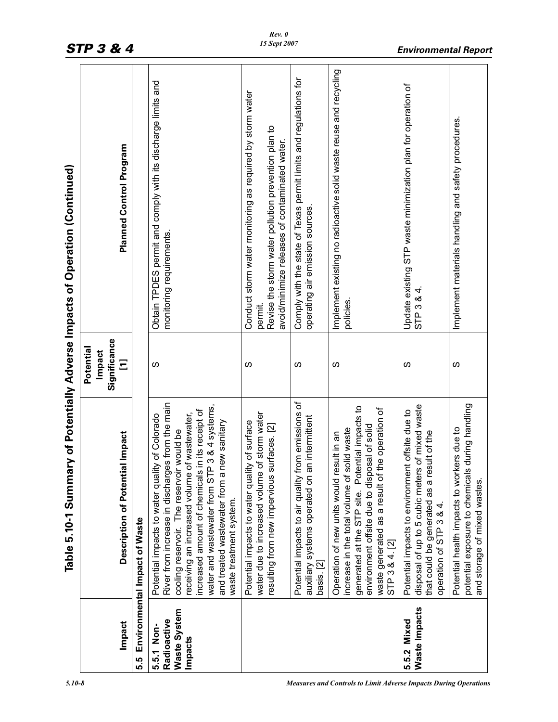|                                                      | Table 5.10-1 Summa                                                                                                                                                                                                                                                                                                                                                            |                        | ry of Potentially Adverse Impacts of Operation (Continued)                                                                                                                    |
|------------------------------------------------------|-------------------------------------------------------------------------------------------------------------------------------------------------------------------------------------------------------------------------------------------------------------------------------------------------------------------------------------------------------------------------------|------------------------|-------------------------------------------------------------------------------------------------------------------------------------------------------------------------------|
|                                                      |                                                                                                                                                                                                                                                                                                                                                                               | Potential              |                                                                                                                                                                               |
|                                                      |                                                                                                                                                                                                                                                                                                                                                                               | Significance<br>Impact |                                                                                                                                                                               |
| Impact                                               | Description of Potential Impact                                                                                                                                                                                                                                                                                                                                               | Ξ                      | <b>Planned Control Program</b>                                                                                                                                                |
| 5.5                                                  | Environmental Impact of Waste                                                                                                                                                                                                                                                                                                                                                 |                        |                                                                                                                                                                               |
| Waste System<br>Radioactive<br>5.5.1 Non-<br>Impacts | River from increase in discharges from the main<br>water and wastewater from STP 3 & 4 systems,<br>in its receipt of<br>receiving an increased volume of wastewater,<br>Potential impacts to water quality of Colorado<br>and treated wastewater from a new sanitary<br>cooling reservoir. The reservoir would be<br>increased amount of chemicals<br>waste treatment system. | ഗ                      | Obtain TPDES permit and comply with its discharge limits and<br>monitoring requirements.                                                                                      |
|                                                      | water due to increased volume of storm water<br>Potential impacts to water quality of surface<br>resulting from new impervious surfaces. [2]                                                                                                                                                                                                                                  | ഗ                      | Conduct storm water monitoring as required by storm water<br>Revise the storm water pollution prevention plan to<br>avoid/minimize releases of contaminated water.<br>permit. |
|                                                      | Potential impacts to air quality from emissions of<br>auxiliary systems operated on an intermittent<br>basis. [2]                                                                                                                                                                                                                                                             | ഗ                      | Comply with the state of Texas permit limits and regulations for<br>operating air emission sources.                                                                           |
|                                                      | generated at the STP site. Potential impacts to<br>waste generated as a result of the operation of<br>environment offsite due to disposal of solid<br>increase in the total volume of solid waste<br>Operation of new units would result in an<br>STP 3 & 4. [2]                                                                                                              | S                      | Implement existing no radioactive solid waste reuse and recycling<br>policies                                                                                                 |
| Waste Impacts<br>5.5.2 Mixed                         | of mixed waste<br>Potential impacts to environment offsite due to<br>that could be generated as a result of the<br>disposal of up to 5 cubic meters<br>operation of STP 3 & 4.                                                                                                                                                                                                | ഗ                      | Update existing STP waste minimization plan for operation of<br>STP 3 & 4.                                                                                                    |
|                                                      | during handling<br>ers due to<br>Potential health impacts to work<br>potential exposure to chemicals<br>and storage of mixed wastes.                                                                                                                                                                                                                                          | S                      | Implement materials handling and safety procedures.                                                                                                                           |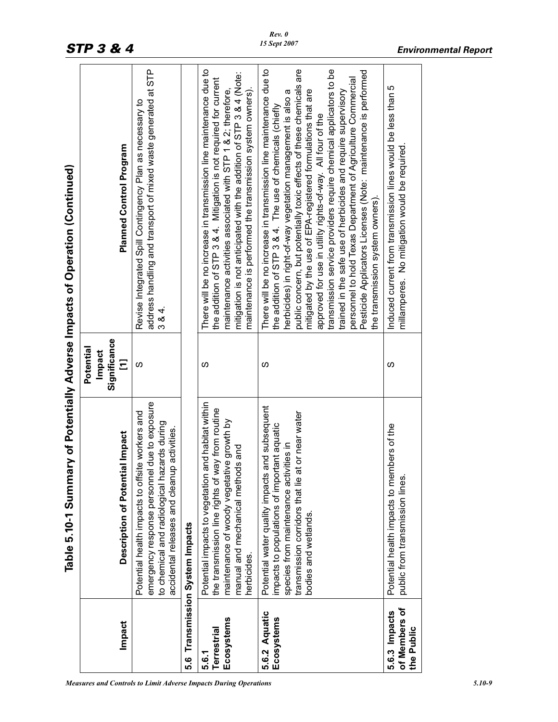|                                              | Table 5.10-1 Summ                                                                                                                                                                                                      |                                          | ary of Potentially Adverse Impacts of Operation (Continued)                                                                                                                                                                                                                                                                                                                                                                                                                                                                                                                                                                                                                                                    |
|----------------------------------------------|------------------------------------------------------------------------------------------------------------------------------------------------------------------------------------------------------------------------|------------------------------------------|----------------------------------------------------------------------------------------------------------------------------------------------------------------------------------------------------------------------------------------------------------------------------------------------------------------------------------------------------------------------------------------------------------------------------------------------------------------------------------------------------------------------------------------------------------------------------------------------------------------------------------------------------------------------------------------------------------------|
| Impact                                       | Description of Potential Impact                                                                                                                                                                                        | Significance<br>Potential<br>Impact<br>Ξ | <b>Planned Control Program</b>                                                                                                                                                                                                                                                                                                                                                                                                                                                                                                                                                                                                                                                                                 |
|                                              | emergency response personnel due to exposure<br>Potential health impacts to offsite workers and<br>to chemical and radiological hazards during<br>accidental releases and cleanup activities.                          | <sub>(</sub>                             | address handling and transport of mixed waste generated at STP<br>Revise Integrated Spill Contingency Plan as necessary to<br>$384$ .                                                                                                                                                                                                                                                                                                                                                                                                                                                                                                                                                                          |
|                                              | 5.6 Transmission System Impacts                                                                                                                                                                                        |                                          |                                                                                                                                                                                                                                                                                                                                                                                                                                                                                                                                                                                                                                                                                                                |
| Ecosystems<br>Terrestrial<br>5.6.1           | Potential impacts to vegetation and habitat within<br>the transmission line rights of way from routine<br>maintenance of woody vegetative growth by<br>manual and mechanical methods and<br>herbicides.                | w                                        | There will be no increase in transmission line maintenance due to<br>mitigation is not anticipated with the addition of STP 3 & 4 (Note:<br>the addition of STP 3 & 4. Mitigation is not required for current<br>maintenance is performed the transmission system owners).<br>maintenance activities associated with STP 1 & 2; therefore,                                                                                                                                                                                                                                                                                                                                                                     |
| 5.6.2 Aquatic<br>Ecosystems                  | Potential water quality impacts and subsequent<br>at or near water<br>impacts to populations of important aquatic<br>species from maintenance activities in<br>transmission corridors that lie<br>bodies and wetlands. | w                                        | There will be no increase in transmission line maintenance due to<br>public concern, but potentially toxic effects of these chemicals are<br>transmission service providers require chemical applicators to be<br>Pesticide Applicators Licenses (Note: maintenance is performed<br>personnel to hold Texas Department of Agriculture Commercial<br>mitigated by the use of EPA-registered formulations that are<br>trained in the safe use of herbicides and require supervisory<br>herbicides) in right-of-way vegetation management is also a<br>the addition of STP 3 & 4. The use of chemicals (chiefly<br>approved for use in utility rights-of-way. All four of the<br>the transmission system owners). |
| of Members of<br>5.6.3 Impacts<br>the Public | Potential health impacts to members of the<br>public from transmission lines                                                                                                                                           | ഗ                                        | Induced current from transmission lines would be less than 5<br>millamperes. No mitigation would be required                                                                                                                                                                                                                                                                                                                                                                                                                                                                                                                                                                                                   |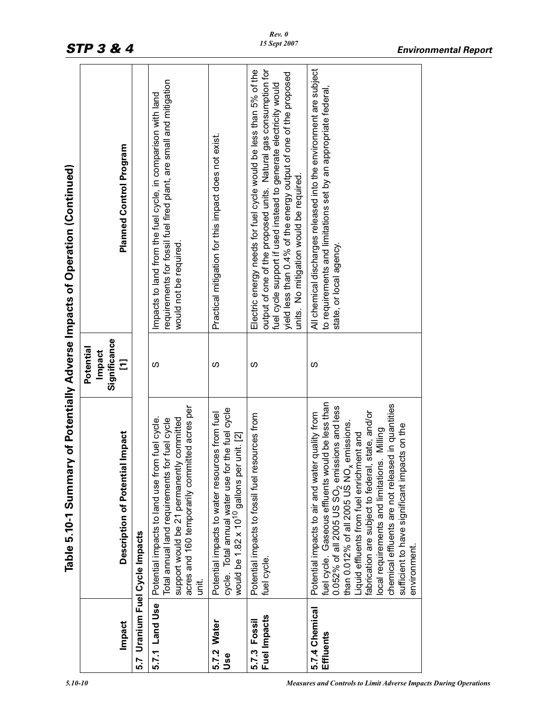|                              | Table 5.10-1 Summa                                                                                                                                                                                                                                                                                                                                                                                                                                                                                      |                                          | ry of Potentially Adverse Impacts of Operation (Continued)                                                                                                                                                                                                                                                               |
|------------------------------|---------------------------------------------------------------------------------------------------------------------------------------------------------------------------------------------------------------------------------------------------------------------------------------------------------------------------------------------------------------------------------------------------------------------------------------------------------------------------------------------------------|------------------------------------------|--------------------------------------------------------------------------------------------------------------------------------------------------------------------------------------------------------------------------------------------------------------------------------------------------------------------------|
| Impact                       | <b>I</b> Impact<br>Description of Potentia                                                                                                                                                                                                                                                                                                                                                                                                                                                              | Significance<br>Potential<br>Impact<br>Ξ | Planned Control Program                                                                                                                                                                                                                                                                                                  |
| 5.7                          | Uranium Fuel Cycle Impacts                                                                                                                                                                                                                                                                                                                                                                                                                                                                              |                                          |                                                                                                                                                                                                                                                                                                                          |
| 5.7.1 Land Use               | acres and 160 temporarily committed acres per<br>Potential impacts to land use from fuel cycle.<br>support would be 21 permanently committed<br>for fuel cycle<br>Total annual land requirements<br>iti.<br>S                                                                                                                                                                                                                                                                                           | ഗ                                        | requirements for fossil fuel fired plant, are small and mitigation<br>Impacts to land from the fuel cycle, in comparison with land<br>would not be required                                                                                                                                                              |
| 5.7.2 Water<br>Use           | cycle. Total annual water use for the fuel cycle<br>rces from fuel<br>would be 1.82 x 10 <sup>10</sup> gallons per unit. [2]<br>Potential impacts to water resou                                                                                                                                                                                                                                                                                                                                        | w                                        | Practical mitigation for this impact does not exist                                                                                                                                                                                                                                                                      |
| Fuel Impacts<br>5.7.3 Fossil | Potential impacts to fossil fuel resources from<br>fuel cycle                                                                                                                                                                                                                                                                                                                                                                                                                                           | ഗ                                        | output of one of the proposed units. Natural gas consumption for<br>Electric energy needs for fuel cycle would be less than 5% of the<br>yield less than 0.4% of the energy output of one of the proposed<br>fuel cycle support if used instead to generate electricity would<br>units. No mitigation would be required. |
| 5.7.4 Chemical<br>Effluents  | fuel cycle. Gaseous effluents would be less than<br>chemical effluents are not released in quantities<br>$0.052\%$ of all 2005 US SO <sub>2</sub> emissions and less<br>than 0.012% of all 2005 US NO <sub>x</sub> emissions.<br>I, state, and/or<br>Potential impacts to air and water quality from<br>sufficient to have significant impacts on the<br>local requirements and limitations. Milling<br>Liquid effluents from fuel enrichment and<br>fabrication are subject to federal<br>environment. | S                                        | All chemical discharges released into the environment are subject<br>to requirements and limitations set by an appropriate federal,<br>state, or local agency                                                                                                                                                            |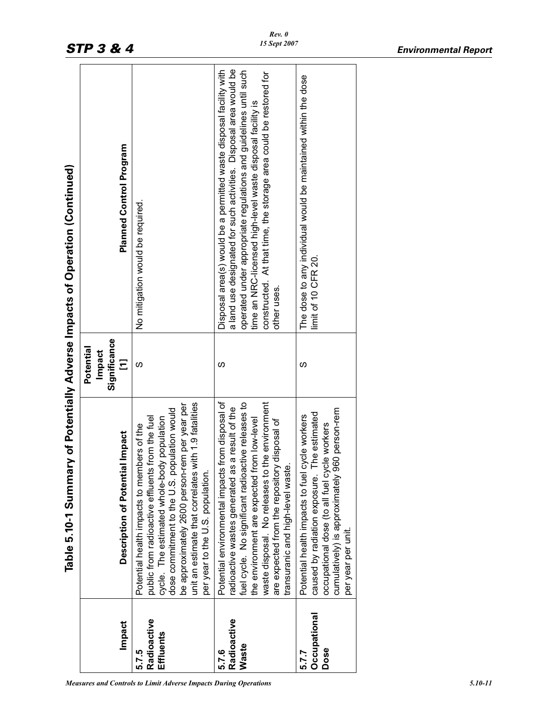|                                   | Table 5.10-1 Summary of Potentially Adverse Impacts of Operation (Continued)                                                                                                                                                                                                                                                                    |                                          |                                                                                                                                                                                                                                                                                                                                                               |
|-----------------------------------|-------------------------------------------------------------------------------------------------------------------------------------------------------------------------------------------------------------------------------------------------------------------------------------------------------------------------------------------------|------------------------------------------|---------------------------------------------------------------------------------------------------------------------------------------------------------------------------------------------------------------------------------------------------------------------------------------------------------------------------------------------------------------|
| Impact                            | Description of Potential Impact                                                                                                                                                                                                                                                                                                                 | Significance<br>Potential<br>Impact<br>Ξ | Planned Control Program                                                                                                                                                                                                                                                                                                                                       |
| Radioactive<br>Effluents<br>5.7.5 | unit an estimate that correlates with 1.9 fatalities<br>be approximately 2600 person-rem per year per<br>dose commitment to the U.S. population would<br>public from radioactive effluents from the fuel<br>cycle. The estimated whole-body population<br>Potential health impacts to members of the<br>per year to the U.S. population         | S                                        | No mitigation would be required.                                                                                                                                                                                                                                                                                                                              |
| Radioactive<br>Waste<br>5.7.6     | Potential environmental impacts from disposal of<br>waste disposal. No releases to the environment<br>fuel cycle. No significant radioactive releases to<br>radioactive wastes generated as a result of the<br>the environment are expected from low-level<br>are expected from the repository disposal of<br>transuranic and high-level waste. | ഗ                                        | a land use designated for such activities. Disposal area would be<br>Disposal area(s) would be a permitted waste disposal facility with<br>operated under appropriate regulations and guidelines until such<br>constructed. At that time, the storage area could be restored for<br>time an NRC-licensed high-level waste disposal facility is<br>other uses. |
| Occupational<br>Dose<br>5.7.7     | 960 person-rem<br>The estimated<br>cycle workers<br>occupational dose (to all fuel cycle workers<br>Potential health impacts to fuel<br>caused by radiation exposure.<br>cumulatively) is approximately<br>per year per unit.                                                                                                                   | S                                        | The dose to any individual would be maintained within the dose<br>limit of 10 CFR 20.                                                                                                                                                                                                                                                                         |
|                                   |                                                                                                                                                                                                                                                                                                                                                 |                                          |                                                                                                                                                                                                                                                                                                                                                               |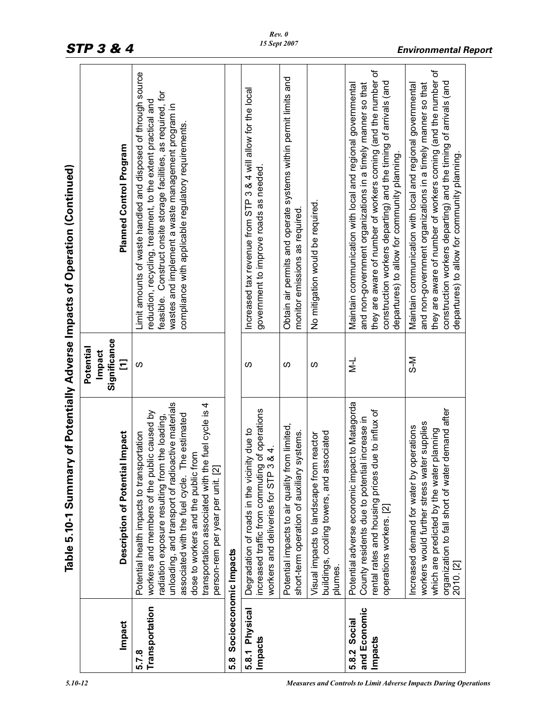|                                         | Table 5.10-1 Summa                                                                                                                                                                                                                                                                                                                                                                          |                                          | ry of Potentially Adverse Impacts of Operation (Continued)                                                                                                                                                                                                                                                     |
|-----------------------------------------|---------------------------------------------------------------------------------------------------------------------------------------------------------------------------------------------------------------------------------------------------------------------------------------------------------------------------------------------------------------------------------------------|------------------------------------------|----------------------------------------------------------------------------------------------------------------------------------------------------------------------------------------------------------------------------------------------------------------------------------------------------------------|
| Impact                                  | <b>Description of Potential Impact</b>                                                                                                                                                                                                                                                                                                                                                      | Significance<br>Potential<br>Impact<br>Ξ | <b>Planned Control Program</b>                                                                                                                                                                                                                                                                                 |
| Transportation<br>5.7.8                 | unloading, and transport of radioactive materials<br>the fuel cycle is 4<br>workers and members of the public caused by<br>The estimated<br>radiation exposure resulting from the loading,<br>Potential health impacts to transportation<br>dose to workers and the public from<br>person-rem per year per unit. [2]<br>transportation associated with t<br>associated with the fuel cycle. | S                                        | Limit amounts of waste handled and disposed of through source<br>feasible. Construct onsite storage facilities, as required, for<br>reduction, recycling, treatment, to the extent practical and<br>wastes and implement a waste management program in<br>compliance with applicable regulatory requirements   |
| Socioeconomic Impacts<br>8.g            |                                                                                                                                                                                                                                                                                                                                                                                             |                                          |                                                                                                                                                                                                                                                                                                                |
| 5.8.1 Physical<br>Impacts               | increased traffic from commuting of operations<br>workers and deliveries for STP 3 & 4.<br>Degradation of roads in the vicinity due to                                                                                                                                                                                                                                                      | S                                        | Increased tax revenue from STP 3 & 4 will allow for the local<br>government to improve roads as needed.                                                                                                                                                                                                        |
|                                         | from limited,<br>short-term operation of auxiliary systems.<br>Potential impacts to air quality                                                                                                                                                                                                                                                                                             | S                                        | Obtain air permits and operate systems within permit limits and<br>monitor emissions as required                                                                                                                                                                                                               |
|                                         | buildings, cooling towers, and associated<br>Visual impacts to landscape from reactor<br>plumes.                                                                                                                                                                                                                                                                                            | S                                        | No mitigation would be required.                                                                                                                                                                                                                                                                               |
| and Economic<br>5.8.2 Social<br>Impacts | Potential adverse economic impact to Matagorda<br>due to influx of<br>al increase in<br>County residents due to potenti<br>rental rates and housing prices<br>operations workers. [2]                                                                                                                                                                                                       | $\frac{1}{2}$                            | they are aware of number of workers coming (and the number of<br>construction workers departing) and the timing of arrivals (and<br>and non-government organizations in a timely manner so that<br>Maintain communication with local and regional governmental<br>departures) to allow for community planning. |
|                                         | organization to fall short of water demand after<br>workers would further stress water supplies<br>operations<br>which are predicted by the water planning<br>Increased demand for water by<br>2010. [2]                                                                                                                                                                                    | N-S                                      | they are aware of number of workers coming (and the number of<br>construction workers departing) and the timing of arrivals (and<br>and non-government organizations in a timely manner so that<br>Maintain communication with local and regional governmental<br>departures) to allow for community planning. |

*<sup>5.10-12</sup> Measures and Controls to Limit Adverse Impacts During Operations*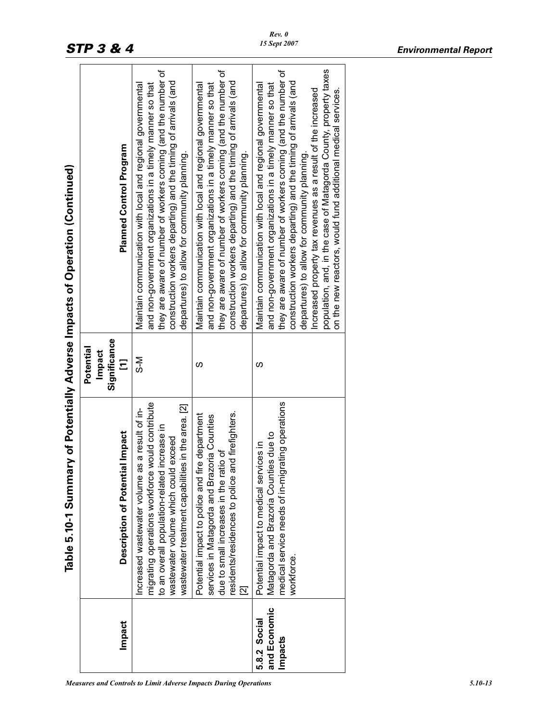|                                         | Table 5.10-1 Summ                                                                                                                                                                                                                                     |                                          | ary of Potentially Adverse Impacts of Operation (Continued)                                                                                                                                                                                                                                                                                                                                                                                                                                                        |
|-----------------------------------------|-------------------------------------------------------------------------------------------------------------------------------------------------------------------------------------------------------------------------------------------------------|------------------------------------------|--------------------------------------------------------------------------------------------------------------------------------------------------------------------------------------------------------------------------------------------------------------------------------------------------------------------------------------------------------------------------------------------------------------------------------------------------------------------------------------------------------------------|
| Impact                                  | Description of Potential Impact                                                                                                                                                                                                                       | Significance<br>Potential<br>Impact<br>Ξ | Planned Control Program                                                                                                                                                                                                                                                                                                                                                                                                                                                                                            |
|                                         | e would contribute<br>wastewater treatment capabilities in the area. [2]<br>as a result of in-<br>to an overall population-related increase in<br>wastewater volume which could exceed<br>ncreased wastewater volume<br>migrating operations workforc | N−S                                      | they are aware of number of workers coming (and the number of<br>construction workers departing) and the timing of arrivals (and<br>and non-government organizations in a timely manner so that<br>Maintain communication with local and regional governmental<br>departures) to allow for community planning.                                                                                                                                                                                                     |
|                                         | and firefighters.<br>Potential impact to police and fire department<br>services in Matagorda and Brazoria Counties<br>ratio of<br>due to small increases in the r<br>residents/residences to police<br>2                                              | ഗ                                        | they are aware of number of workers coming (and the number of<br>construction workers departing) and the timing of arrivals (and<br>Maintain communication with local and regional governmental<br>and non-government organizations in a timely manner so that<br>departures) to allow for community planning.                                                                                                                                                                                                     |
| and Economic<br>5.8.2 Social<br>Impacts | ligrating operations<br>Matagorda and Brazoria Counties due to<br>Potential impact to medical services in<br>medical service needs of in-m<br>workforce.                                                                                              | ഗ                                        | population, and, in the case of Matagorda County, property taxes<br>they are aware of number of workers coming (and the number of<br>construction workers departing) and the timing of arrivals (and<br>and non-government organizations in a timely manner so that<br>Maintain communication with local and regional governmental<br>Increased property tax revenues as a result of the increased<br>on the new reactors, would fund additional medical services.<br>departures) to allow for community planning. |

٦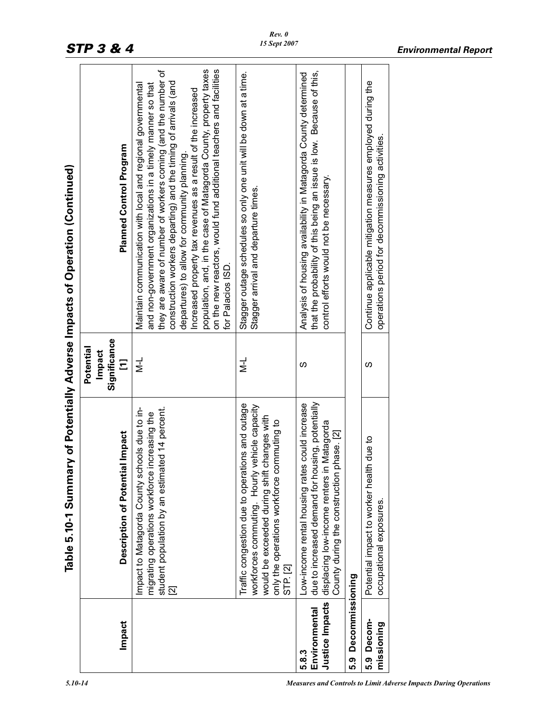|                                           | Table 5.10-1 Summary of Potentially Adverse Impacts of Operation (Continued)                                                                                                                                          |                                              |                                                                                                                                                                                                                                                                                                                                                                                                                                                                                                                                              |
|-------------------------------------------|-----------------------------------------------------------------------------------------------------------------------------------------------------------------------------------------------------------------------|----------------------------------------------|----------------------------------------------------------------------------------------------------------------------------------------------------------------------------------------------------------------------------------------------------------------------------------------------------------------------------------------------------------------------------------------------------------------------------------------------------------------------------------------------------------------------------------------------|
| Impact                                    | Description of Potential Impact                                                                                                                                                                                       | Significance<br>Potential<br>Impact<br>$\Xi$ | Planned Control Program                                                                                                                                                                                                                                                                                                                                                                                                                                                                                                                      |
|                                           | Impact to Matagorda County schools due to in-<br>student population by an estimated 14 percent.<br>migrating operations workforce increasing the<br>$\overline{\mathbf{N}}$                                           | –<br>≥                                       | population, and, in the case of Matagorda County, property taxes<br>on the new reactors, would fund additional teachers and facilities<br>they are aware of number of workers coming (and the number of<br>construction workers departing) and the timing of arrivals (and<br>Maintain communication with local and regional governmental<br>and non-government organizations in a timely manner so that<br>Increased property tax revenues as a result of the increased<br>departures) to allow for community planning.<br>for Palacios ISD |
|                                           | Traffic congestion due to operations and outage<br>workforces commuting. Hourly vehicle capacity<br>would be exceeded during shift changes with<br>only the operations workforce commuting to<br>STP <sub>.</sub> [2] | $\frac{1}{2}$                                | Stagger outage schedules so only one unit will be down at a time.<br>Stagger arrival and departure times.                                                                                                                                                                                                                                                                                                                                                                                                                                    |
| Justice Impacts<br>Environmental<br>5.8.3 | due to increased demand for housing, potentially<br>Low-income rental housing rates could increase<br>in Matagorda<br>County during the construction phase. [2]<br>displacing low-income renters                      | S                                            | that the probability of this being an issue is low. Because of this,<br>Analysis of housing availability in Matagorda County determined<br>control efforts would not be necessary.                                                                                                                                                                                                                                                                                                                                                           |
| Decommissioning<br>ნ.მ<br>ს               |                                                                                                                                                                                                                       |                                              |                                                                                                                                                                                                                                                                                                                                                                                                                                                                                                                                              |
| 5.9 Decom-<br>missioning                  | Potential impact to worker health due to<br>occupational exposures.                                                                                                                                                   | ഗ                                            | Continue applicable mitigation measures employed during the<br>operations period for decommissioning activities.                                                                                                                                                                                                                                                                                                                                                                                                                             |
|                                           |                                                                                                                                                                                                                       |                                              |                                                                                                                                                                                                                                                                                                                                                                                                                                                                                                                                              |